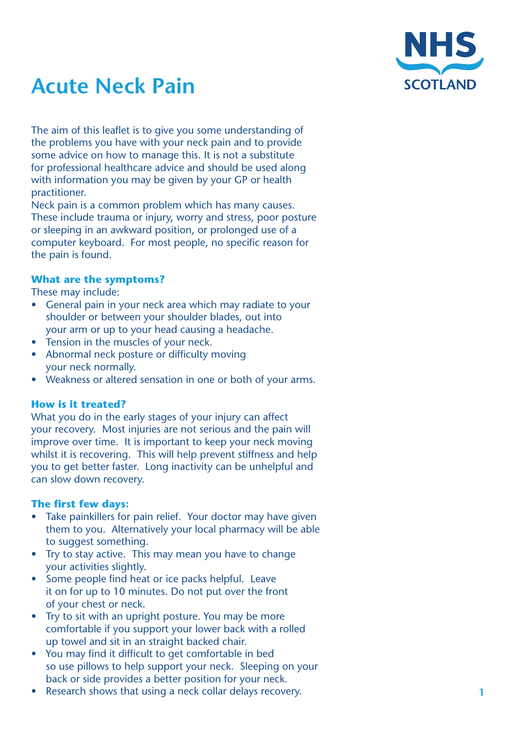

# **Acute Neck Pain**

The aim of this leaflet is to give you some understanding of the problems you have with your neck pain and to provide some advice on how to manage this. It is not a substitute for professional healthcare advice and should be used along with information you may be given by your GP or health practitioner.

Neck pain is a common problem which has many causes. These include trauma or injury, worry and stress, poor posture or sleeping in an awkward position, or prolonged use of a computer keyboard. For most people, no specific reason for the pain is found.

# **What are the symptoms?**

These may include:

- General pain in your neck area which may radiate to your shoulder or between your shoulder blades, out into your arm or up to your head causing a headache.
- Tension in the muscles of your neck.
- Abnormal neck posture or difficulty moving your neck normally.
- Weakness or altered sensation in one or both of your arms.

## **How is it treated?**

What you do in the early stages of your injury can affect your recovery. Most injuries are not serious and the pain will improve over time. It is important to keep your neck moving whilst it is recovering. This will help prevent stiffness and help you to get better faster. Long inactivity can be unhelpful and can slow down recovery.

#### **The first few days:**

- Take painkillers for pain relief. Your doctor may have given them to you. Alternatively your local pharmacy will be able to suggest something.
- Try to stay active. This may mean you have to change your activities slightly.
- Some people find heat or ice packs helpful. Leave it on for up to 10 minutes. Do not put over the front of your chest or neck.
- Try to sit with an upright posture. You may be more comfortable if you support your lower back with a rolled up towel and sit in an straight backed chair.
- You may find it difficult to get comfortable in bed so use pillows to help support your neck. Sleeping on your back or side provides a better position for your neck.
- Research shows that using a neck collar delays recovery.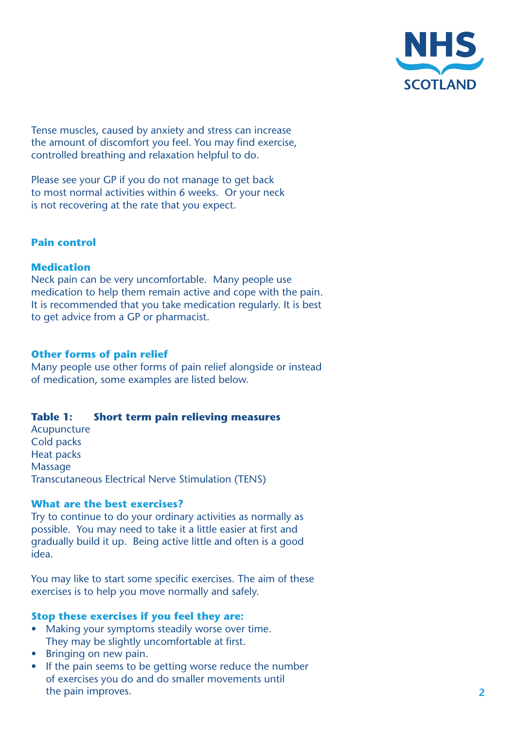

Tense muscles, caused by anxiety and stress can increase the amount of discomfort you feel. You may find exercise, controlled breathing and relaxation helpful to do.

Please see your GP if you do not manage to get back to most normal activities within 6 weeks. Or your neck is not recovering at the rate that you expect.

## **Pain control**

## **Medication**

Neck pain can be very uncomfortable. Many people use medication to help them remain active and cope with the pain. It is recommended that you take medication regularly. It is best to get advice from a GP or pharmacist.

#### **Other forms of pain relief**

Many people use other forms of pain relief alongside or instead of medication, some examples are listed below.

## **Table 1: Short term pain relieving measures**

Acupuncture Cold packs Heat packs Massage Transcutaneous Electrical Nerve Stimulation (TENS)

#### **What are the best exercises?**

Try to continue to do your ordinary activities as normally as possible. You may need to take it a little easier at first and gradually build it up. Being active little and often is a good idea.

You may like to start some specific exercises. The aim of these exercises is to help you move normally and safely.

#### **Stop these exercises if you feel they are:**

- Making your symptoms steadily worse over time. They may be slightly uncomfortable at first.
- Bringing on new pain.
- If the pain seems to be getting worse reduce the number of exercises you do and do smaller movements until the pain improves.